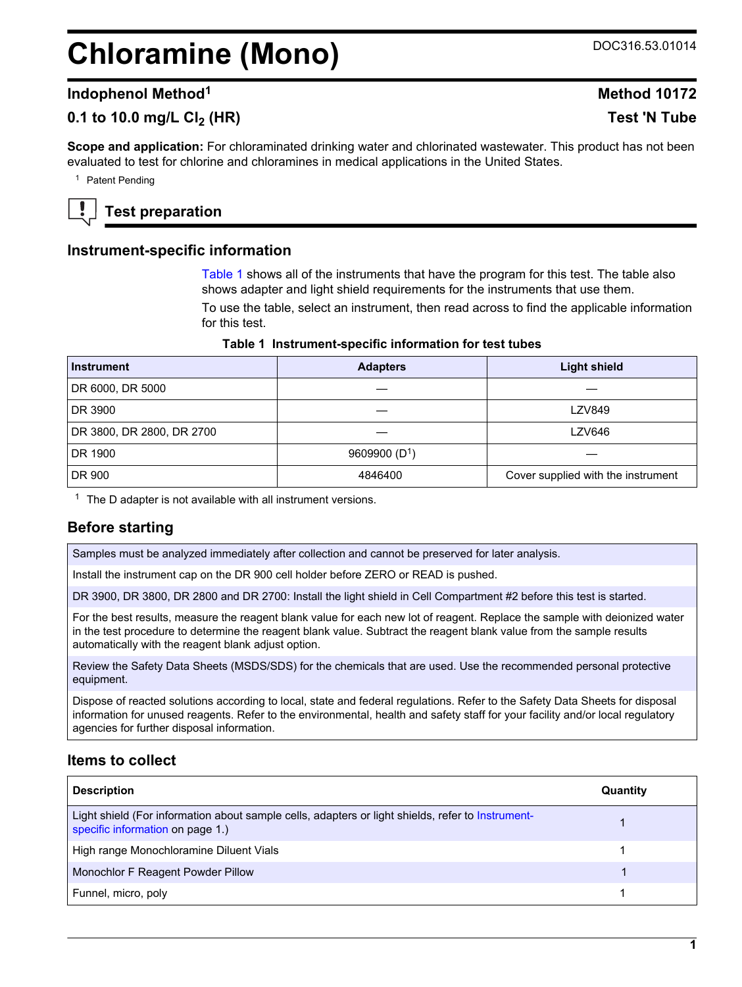# **Chloramine (Mono)** DOC316.53.01014

# **Indophenol Method<sup>1</sup> Method 10172**

# **0.1 to 10.0 mg/L Cl2 (HR) Test 'N Tube**

**Scope and application:** For chloraminated drinking water and chlorinated wastewater. This product has not been evaluated to test for chlorine and chloramines in medical applications in the United States.

<sup>1</sup> Patent Pending

# **Test preparation**

## **Instrument-specific information**

[Table 1](#page-0-0) shows all of the instruments that have the program for this test. The table also shows adapter and light shield requirements for the instruments that use them.

To use the table, select an instrument, then read across to find the applicable information for this test.

#### **Table 1 Instrument-specific information for test tubes**

<span id="page-0-1"></span><span id="page-0-0"></span>

| <b>Instrument</b>         | <b>Light shield</b><br><b>Adapters</b> |                                    |  |
|---------------------------|----------------------------------------|------------------------------------|--|
| DR 6000, DR 5000          |                                        |                                    |  |
| DR 3900                   |                                        | <b>LZV849</b>                      |  |
| DR 3800, DR 2800, DR 2700 |                                        | LZV646                             |  |
| DR 1900                   | 9609900 $(D1)$                         |                                    |  |
| DR 900                    | 4846400                                | Cover supplied with the instrument |  |

 $1$  The D adapter is not available with all instrument versions.

# **Before starting**

Samples must be analyzed immediately after collection and cannot be preserved for later analysis.

Install the instrument cap on the DR 900 cell holder before ZERO or READ is pushed.

DR 3900, DR 3800, DR 2800 and DR 2700: Install the light shield in Cell Compartment #2 before this test is started.

For the best results, measure the reagent blank value for each new lot of reagent. Replace the sample with deionized water in the test procedure to determine the reagent blank value. Subtract the reagent blank value from the sample results automatically with the reagent blank adjust option.

Review the Safety Data Sheets (MSDS/SDS) for the chemicals that are used. Use the recommended personal protective equipment.

Dispose of reacted solutions according to local, state and federal regulations. Refer to the Safety Data Sheets for disposal information for unused reagents. Refer to the environmental, health and safety staff for your facility and/or local regulatory agencies for further disposal information.

# **Items to collect**

| <b>Description</b>                                                                                                                    | Quantity |
|---------------------------------------------------------------------------------------------------------------------------------------|----------|
| Light shield (For information about sample cells, adapters or light shields, refer to Instrument-<br>specific information on page 1.) |          |
| High range Monochloramine Diluent Vials                                                                                               |          |
| Monochlor F Reagent Powder Pillow                                                                                                     |          |
| Funnel, micro, poly                                                                                                                   |          |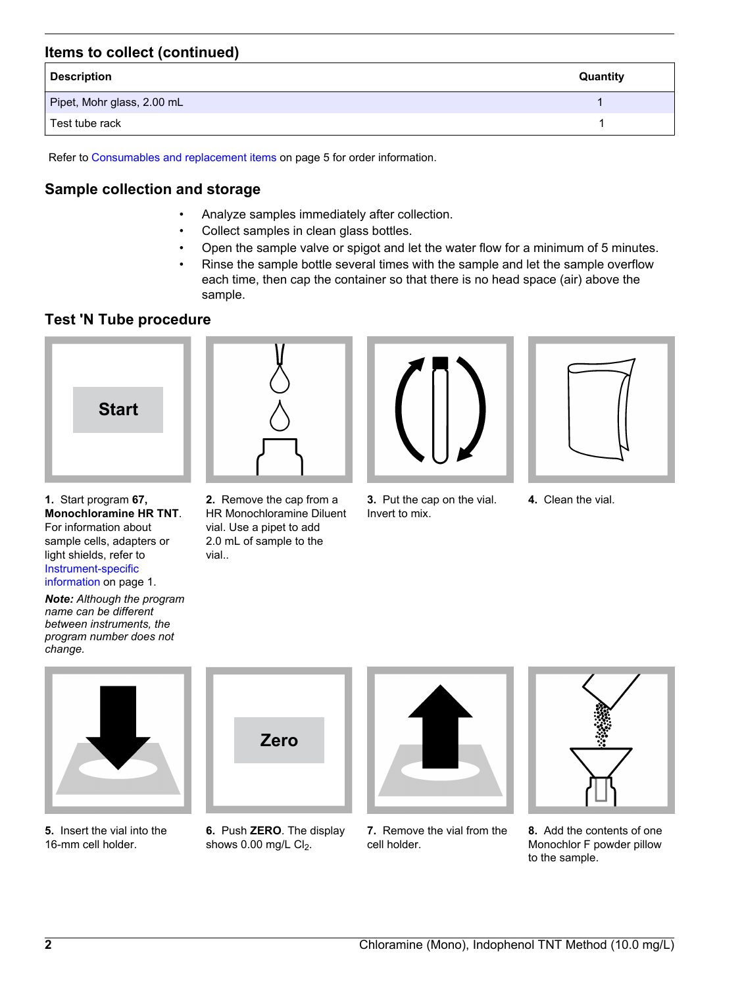# **Items to collect (continued)**

| <b>Description</b>         | Quantity |
|----------------------------|----------|
| Pipet, Mohr glass, 2.00 mL |          |
| ∣ Test tube rack           |          |

Refer to [Consumables and replacement items](#page-4-0) on page 5 for order information.

# **Sample collection and storage**

- Analyze samples immediately after collection.
- Collect samples in clean glass bottles.
- Open the sample valve or spigot and let the water flow for a minimum of 5 minutes.
- Rinse the sample bottle several times with the sample and let the sample overflow each time, then cap the container so that there is no head space (air) above the sample.

# **Test 'N Tube procedure**



**1.** Start program **67, Monochloramine HR TNT**. For information about sample cells, adapters or light shields, refer to [Instrument-specific](#page-0-1) [information](#page-0-1) on page 1.

*Note: Although the program name can be different between instruments, the program number does not change.*



**2.** Remove the cap from a HR Monochloramine Diluent vial. Use a pipet to add 2.0 mL of sample to the vial..



**3.** Put the cap on the vial. Invert to mix.







**5.** Insert the vial into the 16-mm cell holder.



**6.** Push **ZERO**. The display shows  $0.00$  mg/L Cl<sub>2</sub>.



**7.** Remove the vial from the cell holder.



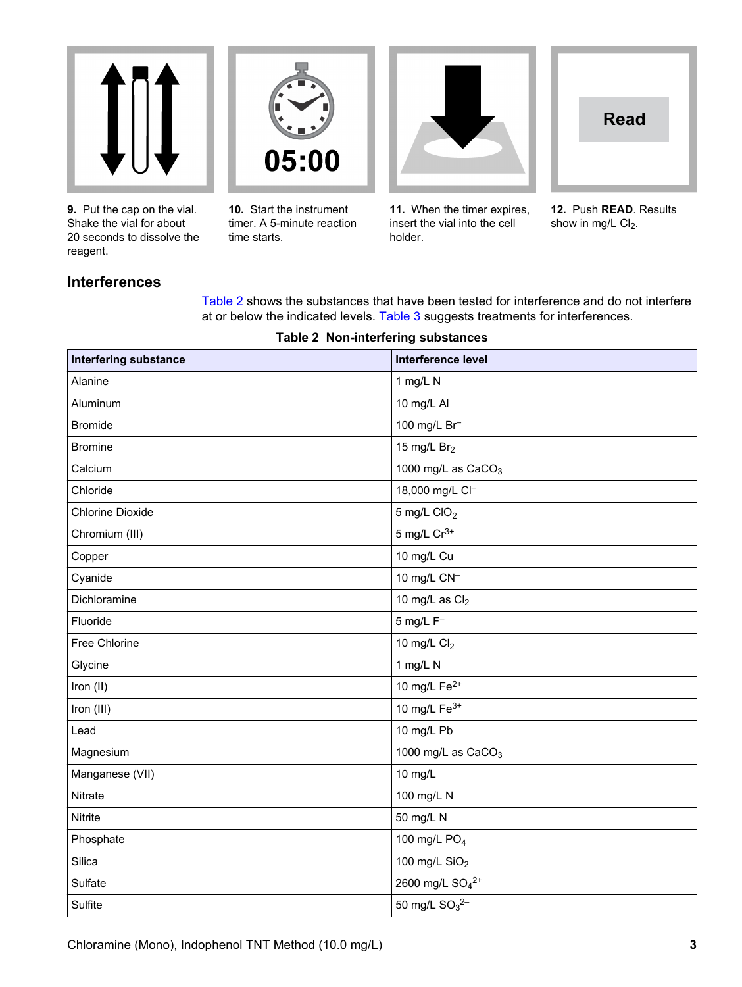<span id="page-2-0"></span>

**9.** Put the cap on the vial. Shake the vial for about 20 seconds to dissolve the reagent.



**10.** Start the instrument timer. A 5-minute reaction

time starts.



**11.** When the timer expires, insert the vial into the cell holder.



**12.** Push **READ**. Results show in mg/L  $Cl<sub>2</sub>$ .

# **Interferences**

[Table 2](#page-2-0) shows the substances that have been tested for interference and do not interfere at or below the indicated levels. [Table 3](#page-3-0) suggests treatments for interferences.

| <b>Interfering substance</b> | Interference level                      |
|------------------------------|-----------------------------------------|
| Alanine                      | 1 mg/L N                                |
| Aluminum                     | 10 mg/L Al                              |
| <b>Bromide</b>               | 100 mg/L Br                             |
| <b>Bromine</b>               | 15 mg/L Br <sub>2</sub>                 |
| Calcium                      | 1000 mg/L as CaCO <sub>3</sub>          |
| Chloride                     | 18,000 mg/L Cl-                         |
| <b>Chlorine Dioxide</b>      | $5$ mg/L CIO <sub>2</sub>               |
| Chromium (III)               | 5 mg/L $Cr^{3+}$                        |
| Copper                       | 10 mg/L Cu                              |
| Cyanide                      | 10 mg/L CN <sup>-1</sup>                |
| Dichloramine                 | 10 mg/L as $Cl2$                        |
| Fluoride                     | $5$ mg/L $F^-$                          |
| Free Chlorine                | 10 mg/L $Cl2$                           |
| Glycine                      | 1 mg/L N                                |
| Iron (II)                    | 10 mg/L $Fe2+$                          |
| Iron (III)                   | 10 mg/L $Fe3+$                          |
| Lead                         | 10 mg/L Pb                              |
| Magnesium                    | 1000 mg/L as CaCO <sub>3</sub>          |
| Manganese (VII)              | 10 mg/L                                 |
| Nitrate                      | 100 mg/L N                              |
| Nitrite                      | 50 mg/L N                               |
| Phosphate                    | 100 mg/L PO <sub>4</sub>                |
| Silica                       | 100 mg/L SiO <sub>2</sub>               |
| Sulfate                      | 2600 mg/L SO <sub>4</sub> <sup>2+</sup> |
| Sulfite                      | 50 mg/L $SO_3^{2-}$                     |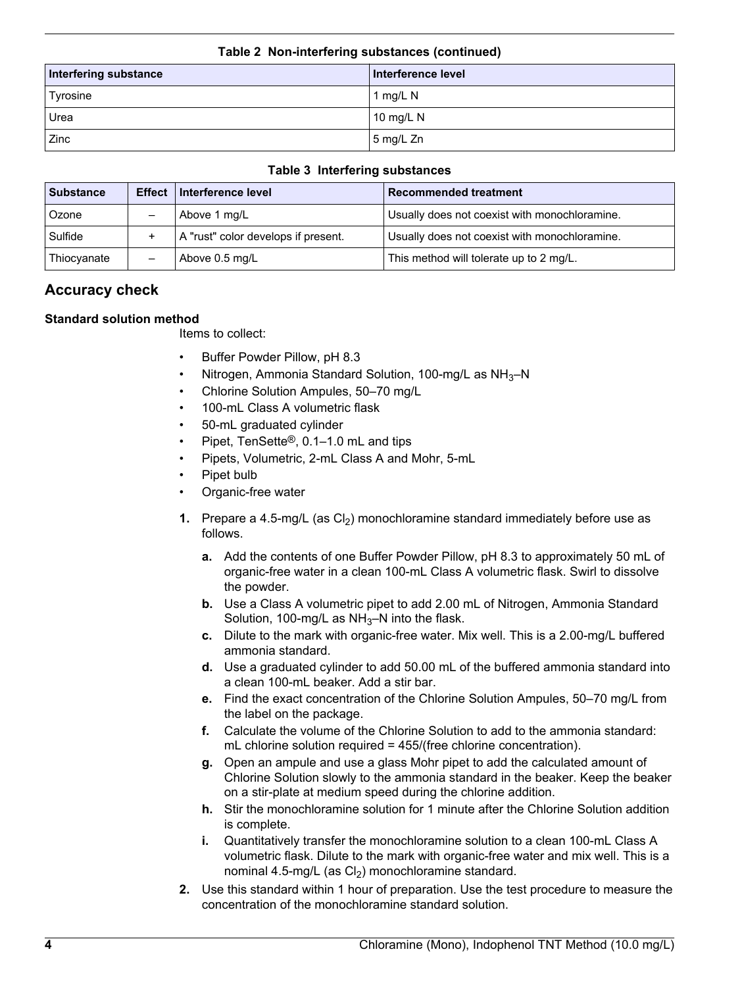|  | Table 2 Non-interfering substances (continued) |  |  |
|--|------------------------------------------------|--|--|
|--|------------------------------------------------|--|--|

| Interfering substance | Interference level    |
|-----------------------|-----------------------|
| Tyrosine              | 1 mg/L $N$            |
| ∣ Urea                | 10 mg/L N             |
| ∣ Zinc                | $ 5 \text{ mg/L Zn} $ |

| rapie o milenering substances |               |                                     |                                               |
|-------------------------------|---------------|-------------------------------------|-----------------------------------------------|
| <b>Substance</b>              | <b>Effect</b> | ∣ Interference level                | <b>Recommended treatment</b>                  |
| Ozone                         |               | Above 1 mg/L                        | Usually does not coexist with monochloramine. |
| Sulfide                       |               | A "rust" color develops if present. | Usually does not coexist with monochloramine. |
| Thiocyanate                   |               | Above 0.5 mg/L                      | This method will tolerate up to 2 mg/L.       |

## **Table 3 Interfering substances**

# <span id="page-3-0"></span>**Accuracy check**

# **Standard solution method**

Items to collect:

- Buffer Powder Pillow, pH 8.3
- Nitrogen, Ammonia Standard Solution, 100-mg/L as  $NH<sub>3</sub>-N$
- Chlorine Solution Ampules, 50–70 mg/L
- 100-mL Class A volumetric flask
- 50-mL graduated cylinder
- Pipet, TenSette®, 0.1–1.0 mL and tips
- Pipets, Volumetric, 2-mL Class A and Mohr, 5-mL
- Pipet bulb
- Organic-free water
- **1.** Prepare a 4.5-mg/L (as Cl<sub>2</sub>) monochloramine standard immediately before use as follows.
	- **a.** Add the contents of one Buffer Powder Pillow, pH 8.3 to approximately 50 mL of organic-free water in a clean 100-mL Class A volumetric flask. Swirl to dissolve the powder.
	- **b.** Use a Class A volumetric pipet to add 2.00 mL of Nitrogen, Ammonia Standard Solution, 100-mg/L as  $NH<sub>3</sub>$ –N into the flask.
	- **c.** Dilute to the mark with organic-free water. Mix well. This is a 2.00-mg/L buffered ammonia standard.
	- **d.** Use a graduated cylinder to add 50.00 mL of the buffered ammonia standard into a clean 100-mL beaker. Add a stir bar.
	- **e.** Find the exact concentration of the Chlorine Solution Ampules, 50–70 mg/L from the label on the package.
	- **f.** Calculate the volume of the Chlorine Solution to add to the ammonia standard: mL chlorine solution required = 455/(free chlorine concentration).
	- **g.** Open an ampule and use a glass Mohr pipet to add the calculated amount of Chlorine Solution slowly to the ammonia standard in the beaker. Keep the beaker on a stir-plate at medium speed during the chlorine addition.
	- **h.** Stir the monochloramine solution for 1 minute after the Chlorine Solution addition is complete.
	- **i.** Quantitatively transfer the monochloramine solution to a clean 100-mL Class A volumetric flask. Dilute to the mark with organic-free water and mix well. This is a nominal 4.5-mg/L (as  $Cl<sub>2</sub>$ ) monochloramine standard.
- **2.** Use this standard within 1 hour of preparation. Use the test procedure to measure the concentration of the monochloramine standard solution.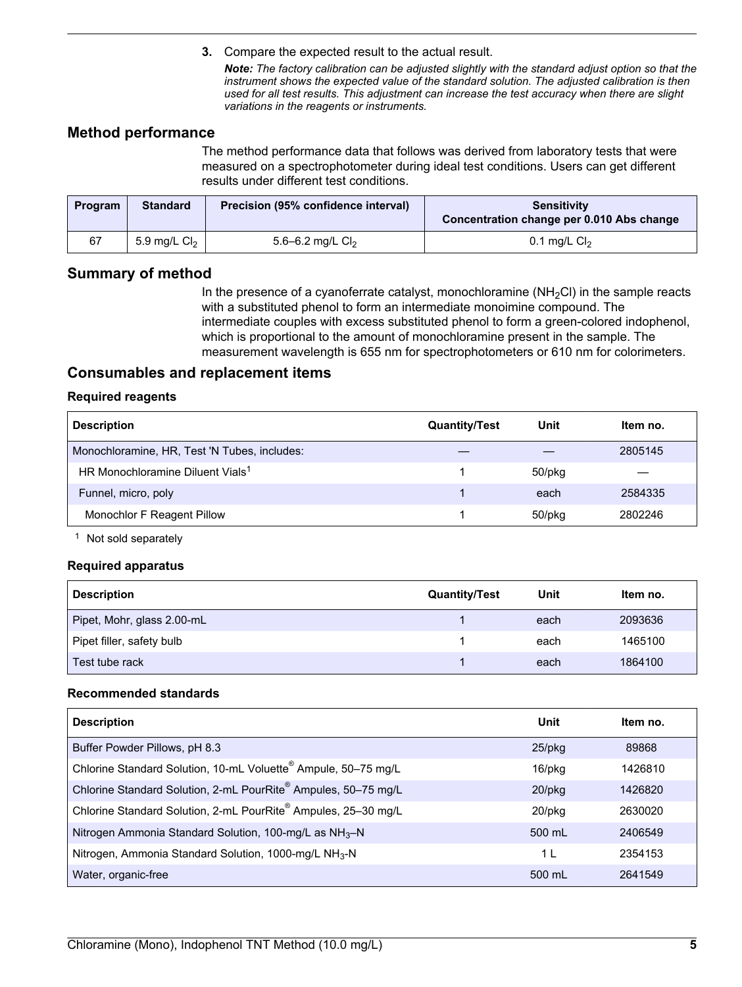**3.** Compare the expected result to the actual result.

*Note: The factory calibration can be adjusted slightly with the standard adjust option so that the instrument shows the expected value of the standard solution. The adjusted calibration is then used for all test results. This adjustment can increase the test accuracy when there are slight variations in the reagents or instruments.*

# **Method performance**

The method performance data that follows was derived from laboratory tests that were measured on a spectrophotometer during ideal test conditions. Users can get different results under different test conditions.

| Program | <b>Standard</b> | Precision (95% confidence interval) | <b>Sensitivity</b><br>Concentration change per 0.010 Abs change |
|---------|-----------------|-------------------------------------|-----------------------------------------------------------------|
| 67      | 5.9 mg/L $Cl2$  | 5.6–6.2 mg/L $Cl_2$                 | 0.1 mg/L $Cl2$                                                  |

# **Summary of method**

In the presence of a cyanoferrate catalyst, monochloramine  $(NH<sub>2</sub>Cl)$  in the sample reacts with a substituted phenol to form an intermediate monoimine compound. The intermediate couples with excess substituted phenol to form a green-colored indophenol, which is proportional to the amount of monochloramine present in the sample. The measurement wavelength is 655 nm for spectrophotometers or 610 nm for colorimeters.

# **Consumables and replacement items**

#### **Required reagents**

| <b>Description</b>                           | <b>Quantity/Test</b> | Unit   | Item no. |
|----------------------------------------------|----------------------|--------|----------|
| Monochloramine, HR, Test 'N Tubes, includes: |                      |        | 2805145  |
| HR Monochloramine Diluent Vials <sup>1</sup> |                      | 50/pkg |          |
| Funnel, micro, poly                          |                      | each   | 2584335  |
| Monochlor F Reagent Pillow                   |                      | 50/pkg | 2802246  |

<sup>1</sup> Not sold separately

#### **Required apparatus**

<span id="page-4-0"></span>

| <b>Description</b>         | <b>Quantity/Test</b> | Unit | Item no. |
|----------------------------|----------------------|------|----------|
| Pipet, Mohr, glass 2.00-mL |                      | each | 2093636  |
| Pipet filler, safety bulb  |                      | each | 1465100  |
| Test tube rack             |                      | each | 1864100  |

#### **Recommended standards**

| <b>Description</b>                                                         | Unit             | Item no. |
|----------------------------------------------------------------------------|------------------|----------|
| Buffer Powder Pillows, pH 8.3                                              | $25$ /pkg        | 89868    |
| Chlorine Standard Solution, 10-mL Voluette <sup>®</sup> Ampule, 50-75 mg/L | $16$ /pkg        | 1426810  |
| Chlorine Standard Solution, 2-mL PourRite® Ampules, 50-75 mg/L             | $20$ /pkg        | 1426820  |
| Chlorine Standard Solution, 2-mL PourRite® Ampules, 25-30 mg/L             | $20$ /pkg        | 2630020  |
| Nitrogen Ammonia Standard Solution, 100-mg/L as $NH3-N$                    | $500 \text{ ml}$ | 2406549  |
| Nitrogen, Ammonia Standard Solution, 1000-mg/L NH <sub>3</sub> -N          | 1 L              | 2354153  |
| Water, organic-free                                                        | 500 mL           | 2641549  |